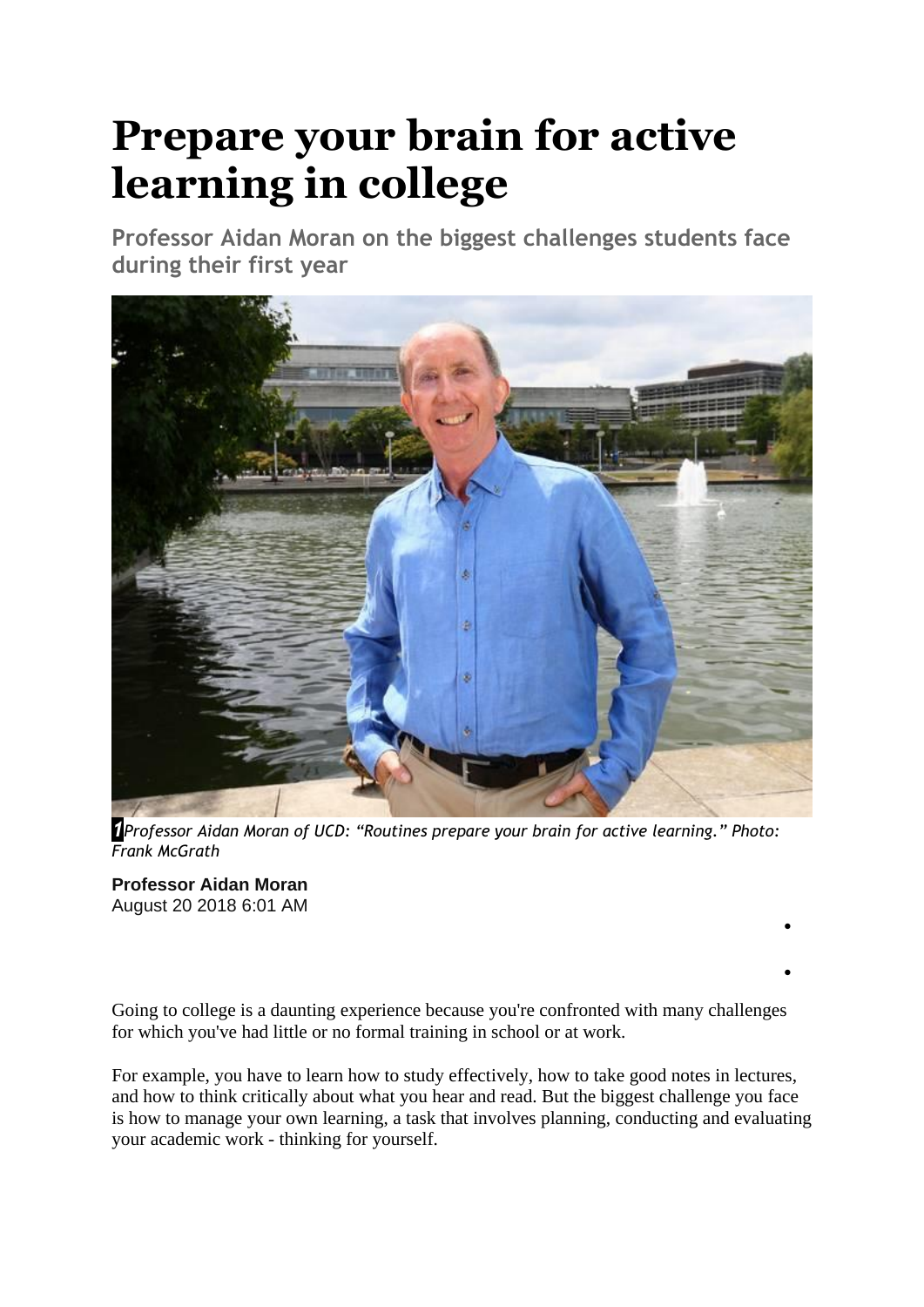# **Prepare your brain for active learning in college**

**Professor Aidan Moran on the biggest challenges students face during their first year**



*1Professor Aidan Moran of UCD: "Routines prepare your brain for active learning." Photo: Frank McGrath*

**Professor Aidan Moran** August 20 2018 6:01 AM

Going to college is a daunting experience because you're confronted with many challenges for which you've had little or no formal training in school or at work.

•

•

For example, you have to learn how to study effectively, how to take good notes in lectures, and how to think critically about what you hear and read. But the biggest challenge you face is how to manage your own learning, a task that involves planning, conducting and evaluating your academic work - thinking for yourself.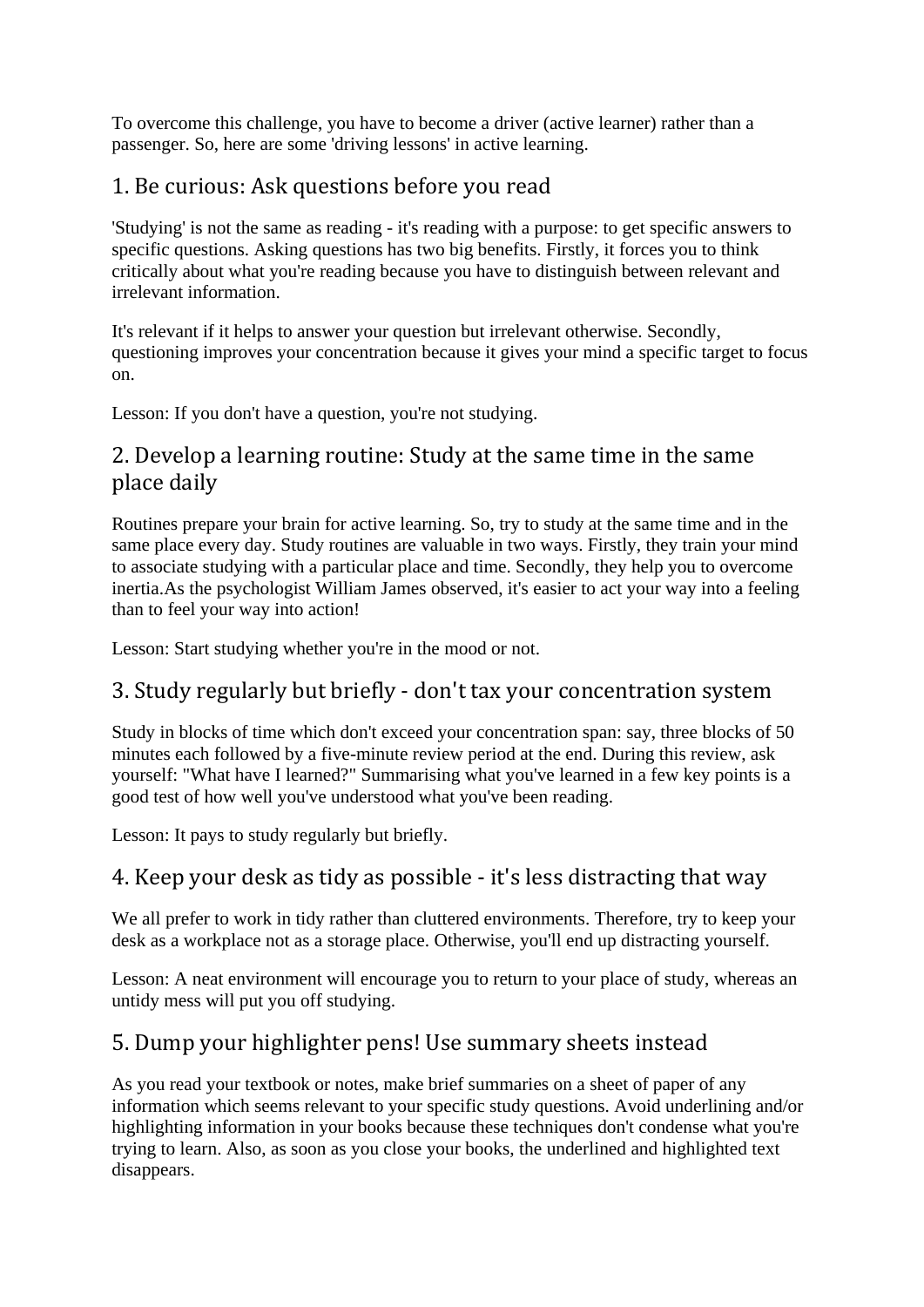To overcome this challenge, you have to become a driver (active learner) rather than a passenger. So, here are some 'driving lessons' in active learning.

### 1. Be curious: Ask questions before you read

'Studying' is not the same as reading - it's reading with a purpose: to get specific answers to specific questions. Asking questions has two big benefits. Firstly, it forces you to think critically about what you're reading because you have to distinguish between relevant and irrelevant information.

It's relevant if it helps to answer your question but irrelevant otherwise. Secondly, questioning improves your concentration because it gives your mind a specific target to focus on.

Lesson: If you don't have a question, you're not studying.

#### 2. Develop a learning routine: Study at the same time in the same place daily

Routines prepare your brain for active learning. So, try to study at the same time and in the same place every day. Study routines are valuable in two ways. Firstly, they train your mind to associate studying with a particular place and time. Secondly, they help you to overcome inertia.As the psychologist William James observed, it's easier to act your way into a feeling than to feel your way into action!

Lesson: Start studying whether you're in the mood or not.

#### 3. Study regularly but briefly - don't tax your concentration system

Study in blocks of time which don't exceed your concentration span: say, three blocks of 50 minutes each followed by a five-minute review period at the end. During this review, ask yourself: "What have I learned?" Summarising what you've learned in a few key points is a good test of how well you've understood what you've been reading.

Lesson: It pays to study regularly but briefly.

# 4. Keep your desk as tidy as possible - it's less distracting that way

We all prefer to work in tidy rather than cluttered environments. Therefore, try to keep your desk as a workplace not as a storage place. Otherwise, you'll end up distracting yourself.

Lesson: A neat environment will encourage you to return to your place of study, whereas an untidy mess will put you off studying.

# 5. Dump your highlighter pens! Use summary sheets instead

As you read your textbook or notes, make brief summaries on a sheet of paper of any information which seems relevant to your specific study questions. Avoid underlining and/or highlighting information in your books because these techniques don't condense what you're trying to learn. Also, as soon as you close your books, the underlined and highlighted text disappears.